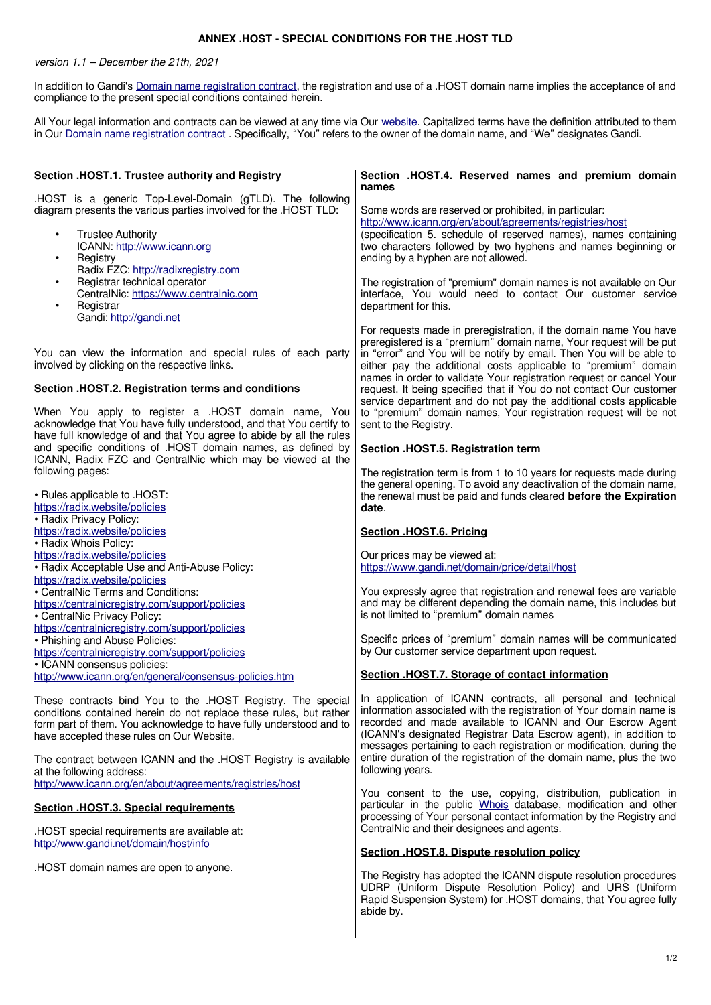## **ANNEX .HOST - SPECIAL CONDITIONS FOR THE .HOST TLD**

version 1.1 – December the 21th, 2021

In addition to Gandi's [Domain name registration contract](https://www.gandi.net/en/contracts/terms-of-service), the registration and use of a .HOST domain name implies the acceptance of and compliance to the present special conditions contained herein.

All Your legal information and contracts can be viewed at any time via Our [website.](http://www.gandi.net/) Capitalized terms have the definition attributed to them in Our [Domain name registration contract](https://www.gandi.net/en/contracts/terms-of-service). Specifically, "You" refers to the owner of the domain name, and "We" designates Gandi.

| Section .HOST.1. Trustee authority and Registry                                                                                                                                                                                                                          | Section .HOST.4. Reserved names and premium domain<br>names                                                                                                                                                                                                                                                                                              |
|--------------------------------------------------------------------------------------------------------------------------------------------------------------------------------------------------------------------------------------------------------------------------|----------------------------------------------------------------------------------------------------------------------------------------------------------------------------------------------------------------------------------------------------------------------------------------------------------------------------------------------------------|
| .HOST is a generic Top-Level-Domain (gTLD). The following<br>diagram presents the various parties involved for the .HOST TLD:<br><b>Trustee Authority</b><br>ICANN: http://www.icann.org<br>Registry<br>Radix FZC: http://radixregistry.com                              | Some words are reserved or prohibited, in particular:<br>http://www.icann.org/en/about/agreements/registries/host<br>(specification 5. schedule of reserved names), names containing<br>two characters followed by two hyphens and names beginning or<br>ending by a hyphen are not allowed.                                                             |
| Registrar technical operator<br>CentralNic: https://www.centralnic.com<br>Registrar<br>$\bullet$<br>Gandi: http://gandi.net                                                                                                                                              | The registration of "premium" domain names is not available on Our<br>interface, You would need to contact Our customer service<br>department for this.                                                                                                                                                                                                  |
| You can view the information and special rules of each party<br>involved by clicking on the respective links.                                                                                                                                                            | For requests made in preregistration, if the domain name You have<br>preregistered is a "premium" domain name, Your request will be put<br>in "error" and You will be notify by email. Then You will be able to<br>either pay the additional costs applicable to "premium" domain<br>names in order to validate Your registration request or cancel Your |
| Section .HOST.2. Registration terms and conditions<br>When You apply to register a .HOST domain name, You                                                                                                                                                                | request. It being specified that if You do not contact Our customer<br>service department and do not pay the additional costs applicable<br>to "premium" domain names, Your registration request will be not                                                                                                                                             |
| acknowledge that You have fully understood, and that You certify to<br>have full knowledge of and that You agree to abide by all the rules<br>and specific conditions of .HOST domain names, as defined by<br>ICANN, Radix FZC and CentralNic which may be viewed at the | sent to the Registry.<br>Section .HOST.5. Registration term                                                                                                                                                                                                                                                                                              |
| following pages:<br>. Rules applicable to .HOST:<br>https://radix.website/policies                                                                                                                                                                                       | The registration term is from 1 to 10 years for requests made during<br>the general opening. To avoid any deactivation of the domain name,<br>the renewal must be paid and funds cleared before the Expiration<br>date.                                                                                                                                  |
| • Radix Privacy Policy:<br>https://radix.website/policies<br>• Radix Whois Policy:                                                                                                                                                                                       | Section .HOST.6. Pricing                                                                                                                                                                                                                                                                                                                                 |
| https://radix.website/policies<br>• Radix Acceptable Use and Anti-Abuse Policy:<br>https://radix.website/policies                                                                                                                                                        | Our prices may be viewed at:<br>https://www.gandi.net/domain/price/detail/host                                                                                                                                                                                                                                                                           |
| • CentralNic Terms and Conditions:<br>https://centralnicregistry.com/support/policies<br>• CentralNic Privacy Policy:<br>https://centralnicregistry.com/support/policies                                                                                                 | You expressly agree that registration and renewal fees are variable<br>and may be different depending the domain name, this includes but<br>is not limited to "premium" domain names                                                                                                                                                                     |
| • Phishing and Abuse Policies:<br>https://centralnicregistry.com/support/policies<br>• ICANN consensus policies:                                                                                                                                                         | Specific prices of "premium" domain names will be communicated<br>by Our customer service department upon request.                                                                                                                                                                                                                                       |
| http://www.icann.org/en/general/consensus-policies.htm                                                                                                                                                                                                                   | Section .HOST.7. Storage of contact information                                                                                                                                                                                                                                                                                                          |
| These contracts bind You to the .HOST Registry. The special<br>conditions contained herein do not replace these rules, but rather<br>form part of them. You acknowledge to have fully understood and to<br>have accepted these rules on Our Website.                     | In application of ICANN contracts, all personal and technical<br>information associated with the registration of Your domain name is<br>recorded and made available to ICANN and Our Escrow Agent<br>(ICANN's designated Registrar Data Escrow agent), in addition to<br>messages pertaining to each registration or modification, during the            |
| The contract between ICANN and the .HOST Registry is available<br>at the following address:<br>http://www.icann.org/en/about/agreements/registries/host                                                                                                                  | entire duration of the registration of the domain name, plus the two<br>following years.                                                                                                                                                                                                                                                                 |
| <b>Section .HOST.3. Special requirements</b>                                                                                                                                                                                                                             | You consent to the use, copying, distribution, publication in<br>particular in the public Whois database, modification and other<br>processing of Your personal contact information by the Registry and                                                                                                                                                  |
| .HOST special requirements are available at:<br>http://www.gandi.net/domain/host/info                                                                                                                                                                                    | CentralNic and their designees and agents.                                                                                                                                                                                                                                                                                                               |
| .HOST domain names are open to anyone.                                                                                                                                                                                                                                   | Section .HOST.8. Dispute resolution policy                                                                                                                                                                                                                                                                                                               |
|                                                                                                                                                                                                                                                                          | The Registry has adopted the ICANN dispute resolution procedures<br>UDRP (Uniform Dispute Resolution Policy) and URS (Uniform<br>Rapid Suspension System) for .HOST domains, that You agree fully<br>abide by.                                                                                                                                           |
|                                                                                                                                                                                                                                                                          |                                                                                                                                                                                                                                                                                                                                                          |